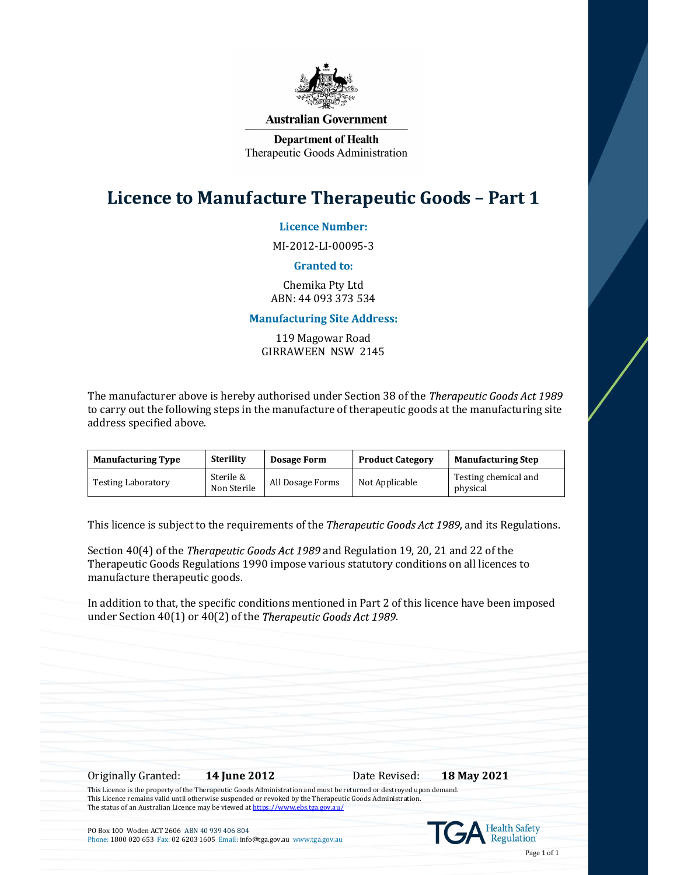

### **Australian Government**

**Department of Health** Therapeutic Goods Administration

# Licence to Manufacture Therapeutic Goods - Part 1

**Licence Number:** 

MI-2012-LI-00095-3

## **Granted to:**

Chemika Pty Ltd ABN: 44 093 373 534

# **Manufacturing Site Address:**

119 Magowar Road GIRRAWEEN NSW 2145

The manufacturer above is hereby authorised under Section 38 of the Therapeutic Goods Act 1989 to carry out the following steps in the manufacture of therapeutic goods at the manufacturing site address specified above.

| <b>Manufacturing Type</b> | <b>Sterility</b>         | <b>Dosage Form</b> | <b>Product Category</b> | <b>Manufacturing Step</b>        |
|---------------------------|--------------------------|--------------------|-------------------------|----------------------------------|
| <b>Testing Laboratory</b> | Sterile &<br>Non Sterile | All Dosage Forms   | Not Applicable          | Testing chemical and<br>physical |

This licence is subject to the requirements of the *Therapeutic Goods Act 1989*, and its Regulations.

Section  $40(4)$  of the *Therapeutic Goods Act 1989* and Regulation 19, 20, 21 and 22 of the Therapeutic Goods Regulations 1990 impose various statutory conditions on all licences to manufacture therapeutic goods.

In addition to that, the specific conditions mentioned in Part 2 of this licence have been imposed